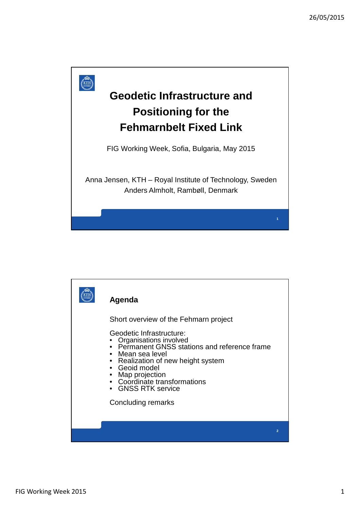

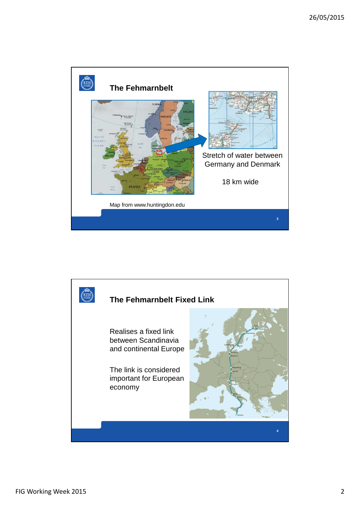

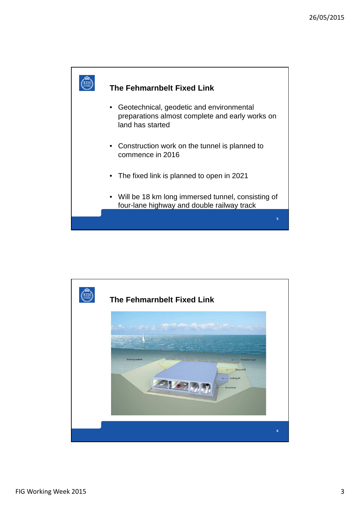

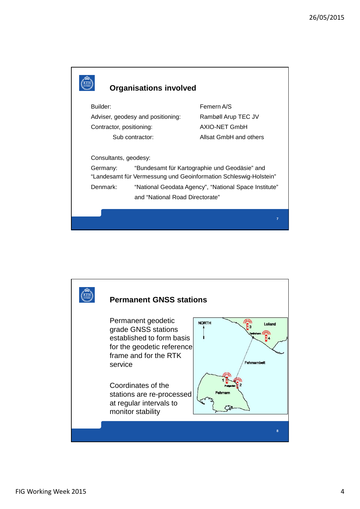

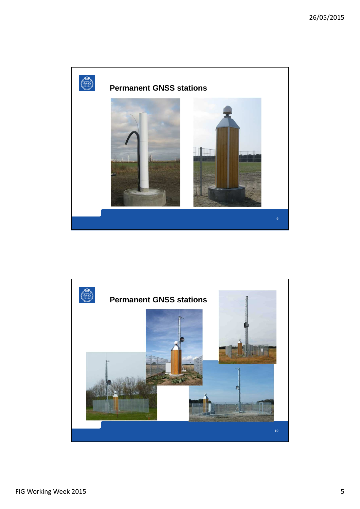

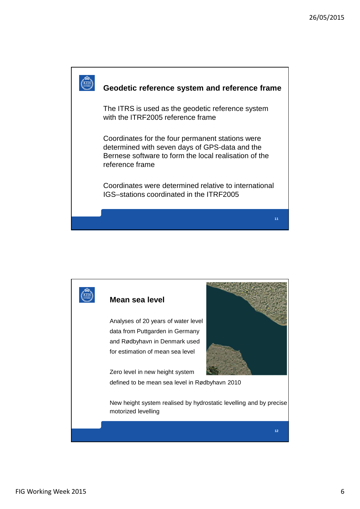

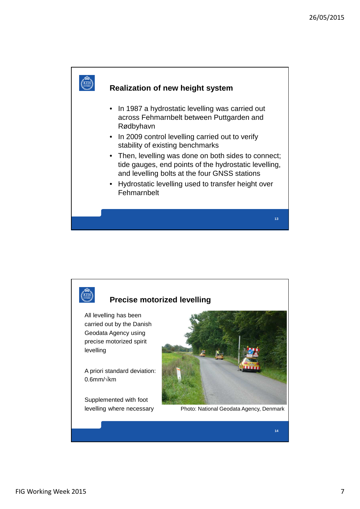

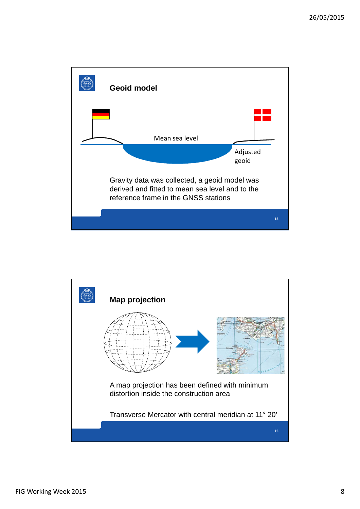

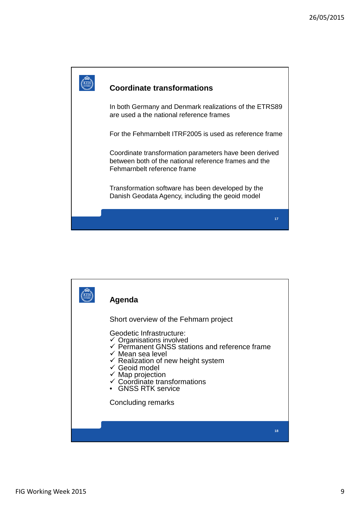

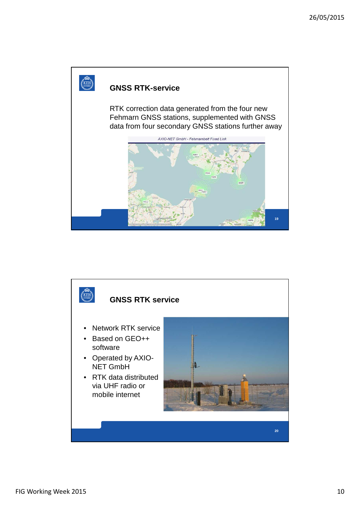

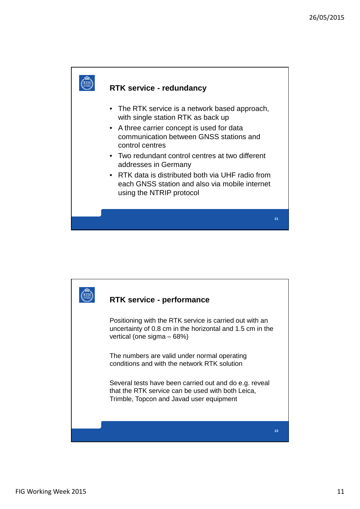